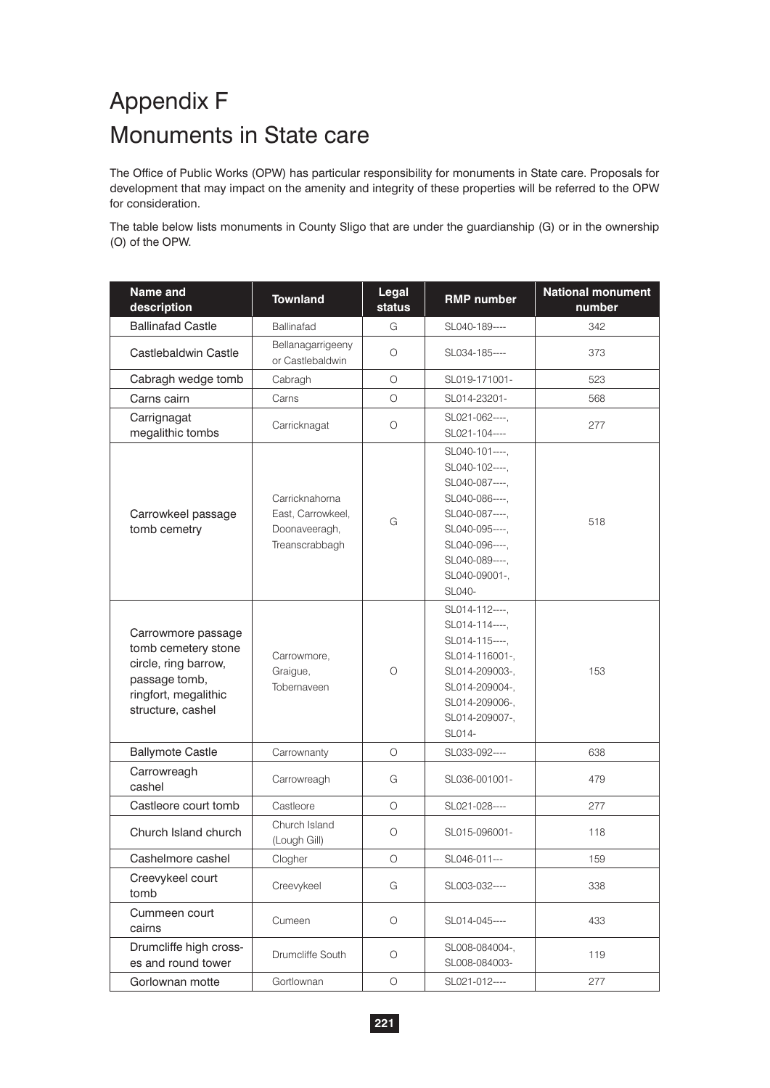## Appendix F Monuments in State care

The Office of Public Works (OPW) has particular responsibility for monuments in State care. Proposals for development that may impact on the amenity and integrity of these properties will be referred to the OPW for consideration.

The table below lists monuments in County Sligo that are under the guardianship (G) or in the ownership (O) of the OPW.

| Name and<br>description                                                                                                         | <b>Townland</b>                                                        | Legal<br>status | <b>RMP number</b>                                                                                                                                                       | <b>National monument</b><br>number |
|---------------------------------------------------------------------------------------------------------------------------------|------------------------------------------------------------------------|-----------------|-------------------------------------------------------------------------------------------------------------------------------------------------------------------------|------------------------------------|
| <b>Ballinafad Castle</b>                                                                                                        | Ballinafad                                                             | G               | SL040-189----                                                                                                                                                           | 342                                |
| Castlebaldwin Castle                                                                                                            | Bellanagarrigeeny<br>or Castlebaldwin                                  | O               | SL034-185----                                                                                                                                                           | 373                                |
| Cabragh wedge tomb                                                                                                              | Cabragh                                                                | O               | SL019-171001-                                                                                                                                                           | 523                                |
| Carns cairn                                                                                                                     | Carns                                                                  | O               | SL014-23201-                                                                                                                                                            | 568                                |
| Carrignagat<br>megalithic tombs                                                                                                 | Carricknagat                                                           | O               | SL021-062----,<br>SL021-104----                                                                                                                                         | 277                                |
| Carrowkeel passage<br>tomb cemetry                                                                                              | Carricknahorna<br>East, Carrowkeel,<br>Doonaveeragh,<br>Treanscrabbagh | G               | SL040-101----.<br>SL040-102----,<br>SL040-087----,<br>SL040-086----,<br>SL040-087----,<br>SL040-095----,<br>SL040-096----,<br>SL040-089----,<br>SL040-09001-,<br>SL040- | 518                                |
| Carrowmore passage<br>tomb cemetery stone<br>circle, ring barrow,<br>passage tomb,<br>ringfort, megalithic<br>structure, cashel | Carrowmore,<br>Graigue,<br>Tobernaveen                                 | $\circ$         | SL014-112----,<br>SL014-114----,<br>SL014-115----,<br>SL014-116001-,<br>SL014-209003-,<br>SL014-209004-,<br>SL014-209006-,<br>SL014-209007-,<br>SL014-                  | 153                                |
| <b>Ballymote Castle</b>                                                                                                         | Carrownanty                                                            | $\circ$         | SL033-092----                                                                                                                                                           | 638                                |
| Carrowreagh<br>cashel                                                                                                           | Carrowreagh                                                            | G               | SL036-001001-                                                                                                                                                           | 479                                |
| Castleore court tomb                                                                                                            | Castleore                                                              | О               | SL021-028----                                                                                                                                                           | 277                                |
| Church Island church                                                                                                            | Church Island<br>(Lough Gill)                                          | O               | SL015-096001-                                                                                                                                                           | 118                                |
| Cashelmore cashel                                                                                                               | Clogher                                                                | $\circ$         | SL046-011---                                                                                                                                                            | 159                                |
| Creevykeel court<br>tomb                                                                                                        | Creevykeel                                                             | G               | SL003-032----                                                                                                                                                           | 338                                |
| Cummeen court<br>cairns                                                                                                         | Cumeen                                                                 | $\circ$         | SL014-045----                                                                                                                                                           | 433                                |
| Drumcliffe high cross-<br>es and round tower                                                                                    | Drumcliffe South                                                       | $\circ$         | SL008-084004-,<br>SL008-084003-                                                                                                                                         | 119                                |
| Gorlownan motte                                                                                                                 | Gortlownan                                                             | $\bigcirc$      | SL021-012----                                                                                                                                                           | 277                                |